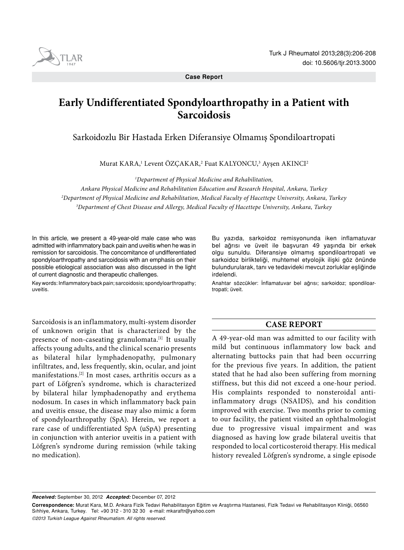**Case Report**

# **Early Undifferentiated Spondyloarthropathy in a Patient with Sarcoidosis**

Sarkoidozlu Bir Hastada Erken Diferansiye Olmamış Spondiloartropati

Murat KARA,<sup>1</sup> Levent OZÇAKAR,<sup>2</sup> Fuat KALYONCU,<sup>3</sup> Ayşen AKINCI<del>'</del>

*1 Department of Physical Medicine and Rehabilitation,*

*Ankara Physical Medicine and Rehabilitation Education and Research Hospital, Ankara, Turkey 2 Department of Physical Medicine and Rehabilitation, Medical Faculty of Hacettepe University, Ankara, Turkey 3 Department of Chest Disease and Allergy, Medical Faculty of Hacettepe University, Ankara, Turkey*

In this article, we present a 49-year-old male case who was admitted with inflammatory back pain and uveitis when he was in remission for sarcoidosis. The concomitance of undifferentiated spondyloarthropathy and sarcoidosis with an emphasis on their possible etiological association was also discussed in the light of current diagnostic and therapeutic challenges.

Key words: Inflammatory back pain; sarcoidosis; spondyloarthropathy; uveitis.

Sarcoidosis is an inflammatory, multi-system disorder of unknown origin that is characterized by the presence of non-caseating granulomata.<sup>[1]</sup> It usually affects young adults, and the clinical scenario presents as bilateral hilar lymphadenopathy, pulmonary infiltrates, and, less frequently, skin, ocular, and joint manifestations.[2] In most cases, arthritis occurs as a part of Löfgren's syndrome, which is characterized by bilateral hilar lymphadenopathy and erythema nodosum. In cases in which inflammatory back pain and uveitis ensue, the disease may also mimic a form of spondyloarthropathy (SpA). Herein, we report a rare case of undifferentiated SpA (uSpA) presenting in conjunction with anterior uveitis in a patient with Löfgren's syndrome during remission (while taking no medication).

Bu yazıda, sarkoidoz remisyonunda iken inflamatuvar bel ağrısı ve üveit ile başvuran 49 yaşında bir erkek olgu sunuldu. Diferansiye olmamış spondiloartropati ve sarkoidoz birlikteliği, muhtemel etyolojik ilişki göz önünde bulundurularak, tanı ve tedavideki mevcut zorluklar eşliğinde irdelendi.

Anahtar sözcükler: İnflamatuvar bel ağrısı; sarkoidoz; spondiloartropati; üveit.

## **CASE REPORT**

A 49-year-old man was admitted to our facility with mild but continuous inflammatory low back and alternating buttocks pain that had been occurring for the previous five years. In addition, the patient stated that he had also been suffering from morning stiffness, but this did not exceed a one-hour period. His complaints responded to nonsteroidal antiinflammatory drugs (NSAIDS), and his condition improved with exercise. Two months prior to coming to our facility, the patient visited an ophthalmologist due to progressive visual impairment and was diagnosed as having low grade bilateral uveitis that responded to local corticosteroid therapy. His medical history revealed Löfgren's syndrome, a single episode

*Received:* September 30, 2012 *Accepted:* December 07, 2012

*©2013 Turkish League Against Rheumatism. All rights reserved.*



**Correspondence:** Murat Kara, M.D. Ankara Fizik Tedavi Rehabilitasyon Eğitim ve Araştırma Hastanesi, Fizik Tedavi ve Rehabilitasyon Kliniği, 06560 Sıhhiye, Ankara, Turkey. Tel: +90 312 - 310 32 30 e-mail: mkaraftr@yahoo.com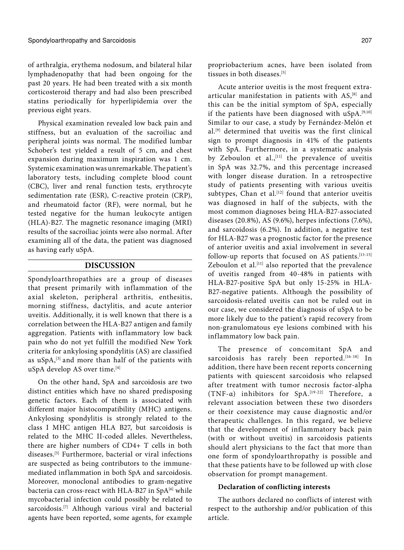of arthralgia, erythema nodosum, and bilateral hilar lymphadenopathy that had been ongoing for the past 20 years. He had been treated with a six month corticosteroid therapy and had also been prescribed statins periodically for hyperlipidemia over the previous eight years.

Physical examination revealed low back pain and stiffness, but an evaluation of the sacroiliac and peripheral joints was normal. The modified lumbar Schober's test yielded a result of 5 cm, and chest expansion during maximum inspiration was 1 cm. Systemic examination was unremarkable. The patient's laboratory tests, including complete blood count (CBC), liver and renal function tests, erythrocyte sedimentation rate (ESR), C-reactive protein (CRP), and rheumatoid factor (RF), were normal, but he tested negative for the human leukocyte antigen (HLA)-B27. The magnetic resonance imaging (MRI) results of the sacroiliac joints were also normal. After examining all of the data, the patient was diagnosed as having early uSpA.

### **DISCUSSION**

Spondyloarthropathies are a group of diseases that present primarily with inflammation of the axial skeleton, peripheral arthritis, enthesitis, morning stiffness, dactylitis, and acute anterior uveitis. Additionally, it is well known that there is a correlation between the HLA-B27 antigen and family aggregation. Patients with inflammatory low back pain who do not yet fulfill the modified New York criteria for ankylosing spondylitis (AS) are classified as uSpA,<sup>[3]</sup> and more than half of the patients with uSpA develop AS over time.<sup>[4]</sup>

On the other hand, SpA and sarcoidosis are two distinct entities which have no shared predisposing genetic factors. Each of them is associated with different major histocompatibility (MHC) antigens. Ankylosing spondylitis is strongly related to the class I MHC antigen HLA B27, but sarcoidosis is related to the MHC II-coded alleles. Nevertheless, there are higher numbers of CD4+ T cells in both diseases.[5] Furthermore, bacterial or viral infections are suspected as being contributors to the immunemediated inflammation in both SpA and sarcoidosis. Moreover, monoclonal antibodies to gram-negative bacteria can cross-react with HLA-B27 in SpA<sup>[6]</sup> while mycobacterial infection could possibly be related to sarcoidosis.<sup>[7]</sup> Although various viral and bacterial agents have been reported, some agents, for example propriobacterium acnes, have been isolated from tissues in both diseases<sup>[5]</sup>

Acute anterior uveitis is the most frequent extraarticular manifestation in patients with AS,<sup>[8]</sup> and this can be the initial symptom of SpA, especially if the patients have been diagnosed with uSpA.[9,10] Similar to our case, a study by Fernández-Melón et al.[9] determined that uveitis was the first clinical sign to prompt diagnosis in 41% of the patients with SpA. Furthermore, in a systematic analysis by Zeboulon et al.,  $[11]$  the prevalence of uveitis in SpA was 32.7%, and this percentage increased with longer disease duration. In a retrospective study of patients presenting with various uveitis subtypes, Chan et al.<sup>[12]</sup> found that anterior uveitis was diagnosed in half of the subjects, with the most common diagnoses being HLA-B27-associated diseases (20.8%), AS (9.6%), herpes infections (7.6%), and sarcoidosis (6.2%). In addition, a negative test for HLA-B27 was a prognostic factor for the presence of anterior uveitis and axial involvement in several follow-up reports that focused on AS patients.<sup>[13-15]</sup> Zeboulon et al.<sup>[11]</sup> also reported that the prevalence of uveitis ranged from 40-48% in patients with HLA-B27-positive SpA but only 15-25% in HLA-B27-negative patients. Although the possibility of sarcoidosis-related uveitis can not be ruled out in our case, we considered the diagnosis of uSpA to be more likely due to the patient's rapid recovery from non-granulomatous eye lesions combined with his inflammatory low back pain.

The presence of concomitant SpA and sarcoidosis has rarely been reported.<sup>[16-18]</sup> In addition, there have been recent reports concerning patients with quiescent sarcoidosis who relapsed after treatment with tumor necrosis factor-alpha (TNF-α) inhibitors for SpA.[19-22] Therefore, a relevant association between these two disorders or their coexistence may cause diagnostic and/or therapeutic challenges. In this regard, we believe that the development of inflammatory back pain (with or without uveitis) in sarcoidosis patients should alert physicians to the fact that more than one form of spondyloarthropathy is possible and that these patients have to be followed up with close observation for prompt management.

#### **Declaration of conflicting interests**

The authors declared no conflicts of interest with respect to the authorship and/or publication of this article.